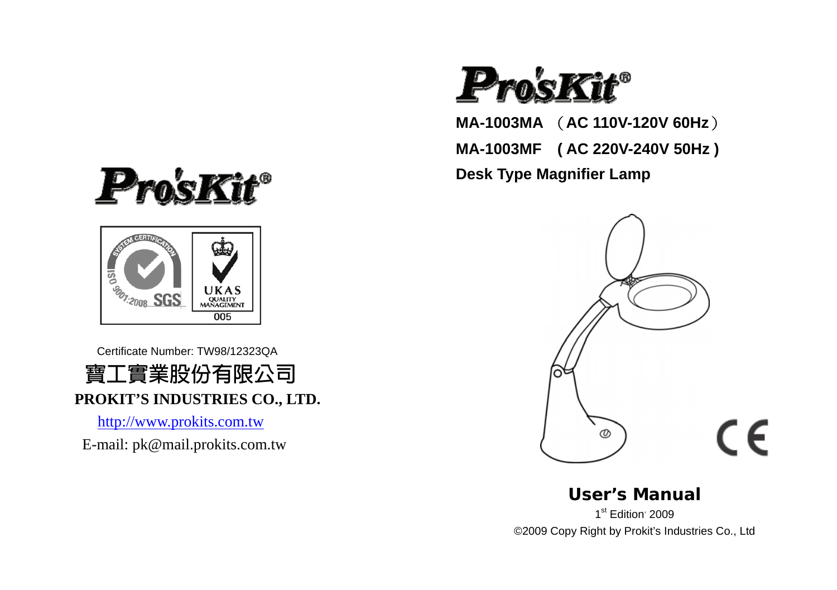



Certificate Number: TW98/12323QA



[http://www.prokits.com.tw](http://www.prokits.com.tw/) E-mail: pk@mail.prokits.com.tw



**MA-1003MA** (**AC 110V-120V 60Hz**)

**MA-1003MF ( AC 220V-240V 50Hz )** 

**Desk Type Magnifier Lamp**



**User's Manual** 1<sup>st</sup> Edition<sup>,</sup> 2009

©2009 Copy Right by Prokit's Industries Co., Ltd